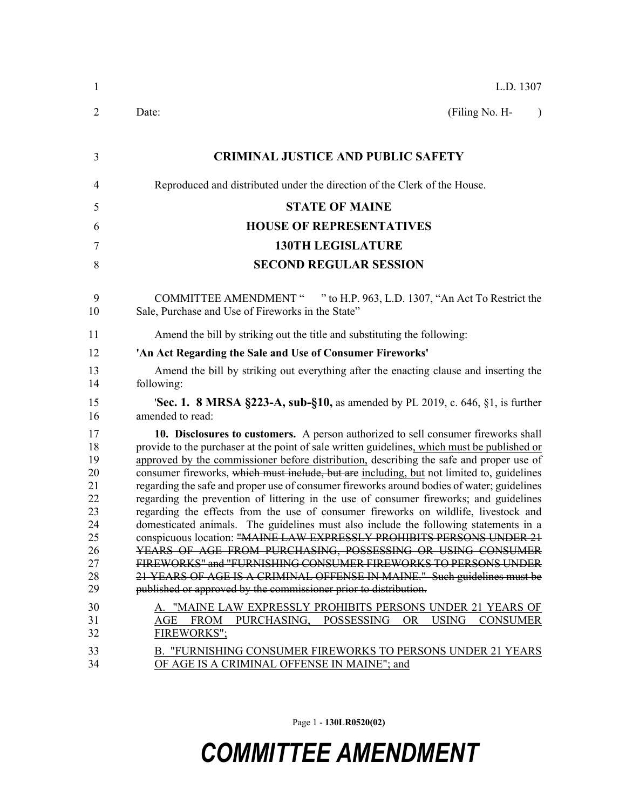| $\mathbf{1}$                                                                                 | L.D. 1307                                                                                                                                                                                                                                                                                                                                                                                                                                                                                                                                                                                                                                                                                                                                                                                                                                                                                                                                                                                                                                                                                                                                                                                                                                               |
|----------------------------------------------------------------------------------------------|---------------------------------------------------------------------------------------------------------------------------------------------------------------------------------------------------------------------------------------------------------------------------------------------------------------------------------------------------------------------------------------------------------------------------------------------------------------------------------------------------------------------------------------------------------------------------------------------------------------------------------------------------------------------------------------------------------------------------------------------------------------------------------------------------------------------------------------------------------------------------------------------------------------------------------------------------------------------------------------------------------------------------------------------------------------------------------------------------------------------------------------------------------------------------------------------------------------------------------------------------------|
| 2                                                                                            | (Filing No. H-<br>Date:<br>$\lambda$                                                                                                                                                                                                                                                                                                                                                                                                                                                                                                                                                                                                                                                                                                                                                                                                                                                                                                                                                                                                                                                                                                                                                                                                                    |
| 3                                                                                            | <b>CRIMINAL JUSTICE AND PUBLIC SAFETY</b>                                                                                                                                                                                                                                                                                                                                                                                                                                                                                                                                                                                                                                                                                                                                                                                                                                                                                                                                                                                                                                                                                                                                                                                                               |
| 4                                                                                            | Reproduced and distributed under the direction of the Clerk of the House.                                                                                                                                                                                                                                                                                                                                                                                                                                                                                                                                                                                                                                                                                                                                                                                                                                                                                                                                                                                                                                                                                                                                                                               |
| 5                                                                                            | <b>STATE OF MAINE</b>                                                                                                                                                                                                                                                                                                                                                                                                                                                                                                                                                                                                                                                                                                                                                                                                                                                                                                                                                                                                                                                                                                                                                                                                                                   |
| 6                                                                                            | <b>HOUSE OF REPRESENTATIVES</b>                                                                                                                                                                                                                                                                                                                                                                                                                                                                                                                                                                                                                                                                                                                                                                                                                                                                                                                                                                                                                                                                                                                                                                                                                         |
| 7                                                                                            | <b>130TH LEGISLATURE</b>                                                                                                                                                                                                                                                                                                                                                                                                                                                                                                                                                                                                                                                                                                                                                                                                                                                                                                                                                                                                                                                                                                                                                                                                                                |
| 8                                                                                            | <b>SECOND REGULAR SESSION</b>                                                                                                                                                                                                                                                                                                                                                                                                                                                                                                                                                                                                                                                                                                                                                                                                                                                                                                                                                                                                                                                                                                                                                                                                                           |
| 9<br>10                                                                                      | COMMITTEE AMENDMENT " " to H.P. 963, L.D. 1307, "An Act To Restrict the<br>Sale, Purchase and Use of Fireworks in the State"                                                                                                                                                                                                                                                                                                                                                                                                                                                                                                                                                                                                                                                                                                                                                                                                                                                                                                                                                                                                                                                                                                                            |
| 11                                                                                           | Amend the bill by striking out the title and substituting the following:                                                                                                                                                                                                                                                                                                                                                                                                                                                                                                                                                                                                                                                                                                                                                                                                                                                                                                                                                                                                                                                                                                                                                                                |
| 12                                                                                           | 'An Act Regarding the Sale and Use of Consumer Fireworks'                                                                                                                                                                                                                                                                                                                                                                                                                                                                                                                                                                                                                                                                                                                                                                                                                                                                                                                                                                                                                                                                                                                                                                                               |
| 13<br>14                                                                                     | Amend the bill by striking out everything after the enacting clause and inserting the<br>following:                                                                                                                                                                                                                                                                                                                                                                                                                                                                                                                                                                                                                                                                                                                                                                                                                                                                                                                                                                                                                                                                                                                                                     |
| 15<br>16                                                                                     | <b>'Sec. 1. 8 MRSA §223-A, sub-§10, as amended by PL 2019, c. 646, §1, is further</b><br>amended to read:                                                                                                                                                                                                                                                                                                                                                                                                                                                                                                                                                                                                                                                                                                                                                                                                                                                                                                                                                                                                                                                                                                                                               |
| 17<br>18<br>19<br>20<br>21<br>22<br>23<br>24<br>25<br>26<br>27<br>28<br>29<br>30<br>31<br>32 | 10. Disclosures to customers. A person authorized to sell consumer fireworks shall<br>provide to the purchaser at the point of sale written guidelines, which must be published or<br>approved by the commissioner before distribution, describing the safe and proper use of<br>consumer fireworks, which must include, but are including, but not limited to, guidelines<br>regarding the safe and proper use of consumer fireworks around bodies of water; guidelines<br>regarding the prevention of littering in the use of consumer fireworks; and guidelines<br>regarding the effects from the use of consumer fireworks on wildlife, livestock and<br>domesticated animals. The guidelines must also include the following statements in a<br>conspicuous location: "MAINE LAW EXPRESSLY PROHIBITS PERSONS UNDER 21<br>YEARS OF AGE FROM PURCHASING, POSSESSING OR USING CONSUMER<br>FIREWORKS" and "FURNISHING CONSUMER FIREWORKS TO PERSONS UNDER<br>21 YEARS OF AGE IS A CRIMINAL OFFENSE IN MAINE." Such guidelines must be<br>published or approved by the commissioner prior to distribution.<br>A. "MAINE LAW EXPRESSLY PROHIBITS PERSONS UNDER 21 YEARS OF<br>AGE FROM PURCHASING, POSSESSING OR USING<br><b>CONSUMER</b><br>FIREWORKS": |
| 33<br>34                                                                                     | <b>B. "FURNISHING CONSUMER FIREWORKS TO PERSONS UNDER 21 YEARS</b><br>OF AGE IS A CRIMINAL OFFENSE IN MAINE"; and                                                                                                                                                                                                                                                                                                                                                                                                                                                                                                                                                                                                                                                                                                                                                                                                                                                                                                                                                                                                                                                                                                                                       |

Page 1 - **130LR0520(02)**

## *COMMITTEE AMENDMENT*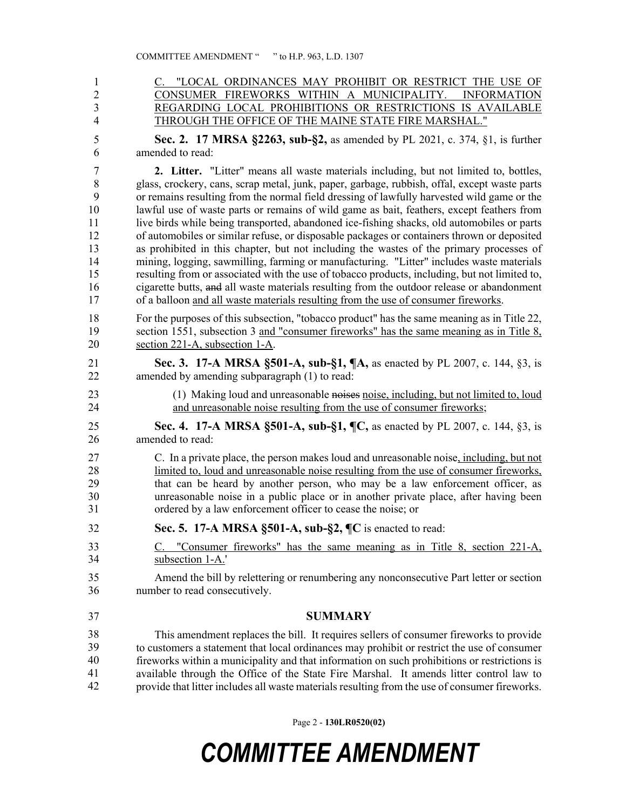| 1              | C. "LOCAL ORDINANCES MAY PROHIBIT OR RESTRICT THE USE OF                                      |
|----------------|-----------------------------------------------------------------------------------------------|
| $\overline{2}$ | CONSUMER FIREWORKS WITHIN A MUNICIPALITY. INFORMATION                                         |
| 3              | REGARDING LOCAL PROHIBITIONS OR RESTRICTIONS IS AVAILABLE                                     |
| $\overline{4}$ | THROUGH THE OFFICE OF THE MAINE STATE FIRE MARSHAL."                                          |
| 5              | Sec. 2. 17 MRSA §2263, sub-§2, as amended by PL 2021, c. 374, §1, is further                  |
| 6              | amended to read:                                                                              |
| 7              | <b>2.</b> Litter. "Litter" means all waste materials including, but not limited to, bottles,  |
| 8              | glass, crockery, cans, scrap metal, junk, paper, garbage, rubbish, offal, except waste parts  |
| 9              | or remains resulting from the normal field dressing of lawfully harvested wild game or the    |
| 10             | lawful use of waste parts or remains of wild game as bait, feathers, except feathers from     |
| 11             | live birds while being transported, abandoned ice-fishing shacks, old automobiles or parts    |
| 12             | of automobiles or similar refuse, or disposable packages or containers thrown or deposited    |
| 13             | as prohibited in this chapter, but not including the wastes of the primary processes of       |
| 14             | mining, logging, sawmilling, farming or manufacturing. "Litter" includes waste materials      |
| 15             | resulting from or associated with the use of tobacco products, including, but not limited to, |
| 16             | cigarette butts, and all waste materials resulting from the outdoor release or abandonment    |
| 17             | of a balloon and all waste materials resulting from the use of consumer fireworks.            |
| 18             | For the purposes of this subsection, "tobacco product" has the same meaning as in Title 22,   |
| 19             | section 1551, subsection 3 and "consumer fireworks" has the same meaning as in Title 8,       |
| 20             | section 221-A, subsection 1-A.                                                                |
| 21             | Sec. 3. 17-A MRSA §501-A, sub-§1, ¶A, as enacted by PL 2007, c. 144, §3, is                   |
| 22             | amended by amending subparagraph (1) to read:                                                 |
| 23             | (1) Making loud and unreasonable noises noise, including, but not limited to, loud            |
| 24             | and unreasonable noise resulting from the use of consumer fireworks;                          |
| 25             | Sec. 4. 17-A MRSA §501-A, sub-§1, ¶C, as enacted by PL 2007, c. 144, §3, is                   |
| 26             | amended to read:                                                                              |
| 27             | C. In a private place, the person makes loud and unreasonable noise, including, but not       |
| 28             | limited to, loud and unreasonable noise resulting from the use of consumer fireworks,         |
| 29             | that can be heard by another person, who may be a law enforcement officer, as                 |
| 30             | unreasonable noise in a public place or in another private place, after having been           |
| 31             | ordered by a law enforcement officer to cease the noise; or                                   |
| 32             | Sec. 5. 17-A MRSA §501-A, sub-§2, ¶C is enacted to read:                                      |
| 33             | C. "Consumer fireworks" has the same meaning as in Title 8, section 221-A,                    |
| 34             | subsection 1-A.'                                                                              |
| 35             | Amend the bill by relettering or renumbering any nonconsecutive Part letter or section        |
| 36             | number to read consecutively.                                                                 |
| 37             | <b>SUMMARY</b>                                                                                |
| 38             | This amendment replaces the bill. It requires sellers of consumer fireworks to provide        |
| 39             | to customers a statement that local ordinances may prohibit or restrict the use of consumer   |
| 40             | fireworks within a municipality and that information on such prohibitions or restrictions is  |

41 available through the Office of the State Fire Marshal. It amends litter control law to 42 provide that litter includes all waste materials resulting from the use of consumer fireworks. 41 42

Page 2 - **130LR0520(02)**

## *COMMITTEE AMENDMENT*